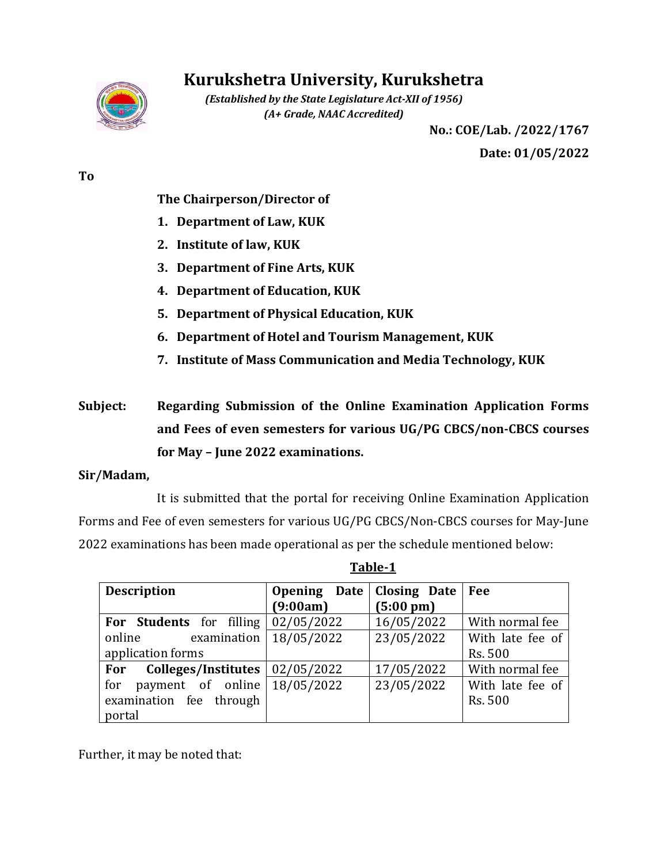

# **Kurukshetra University, Kurukshetra**

*(Established by the State Legislature Act-XII of 1956) (A+ Grade, NAAC Accredited)*

> **No.: COE/Lab. /2022/1767 Date: 01/05/2022**

## **To**

**The Chairperson/Director of**

- **1. Department of Law, KUK**
- **2. Institute of law, KUK**
- **3. Department of Fine Arts, KUK**
- **4. Department of Education, KUK**
- **5. Department of Physical Education, KUK**
- **6. Department of Hotel and Tourism Management, KUK**
- **7. Institute of Mass Communication and Media Technology, KUK**
- **Subject: Regarding Submission of the Online Examination Application Forms and Fees of even semesters for various UG/PG CBCS/non-CBCS courses for May – June 2022 examinations.**

### **Sir/Madam,**

It is submitted that the portal for receiving Online Examination Application Forms and Fee of even semesters for various UG/PG CBCS/Non-CBCS courses for May-June 2022 examinations has been made operational as per the schedule mentioned below:

| <b>Description</b>                    | Opening Date               | <b>Closing Date</b> | Fee              |
|---------------------------------------|----------------------------|---------------------|------------------|
|                                       | (9:00am)                   | $(5:00 \text{ pm})$ |                  |
| <b>For Students</b> for filling       | 02/05/2022                 | 16/05/2022          | With normal fee  |
| online                                | examination   $18/05/2022$ | 23/05/2022          | With late fee of |
| application forms                     |                            |                     | Rs. 500          |
| For Colleges/Institutes               | 02/05/2022                 | 17/05/2022          | With normal fee  |
| payment of online $18/05/2022$<br>for |                            | 23/05/2022          | With late fee of |
| examination fee through               |                            |                     | Rs. 500          |
| portal                                |                            |                     |                  |

**Table-1**

Further, it may be noted that: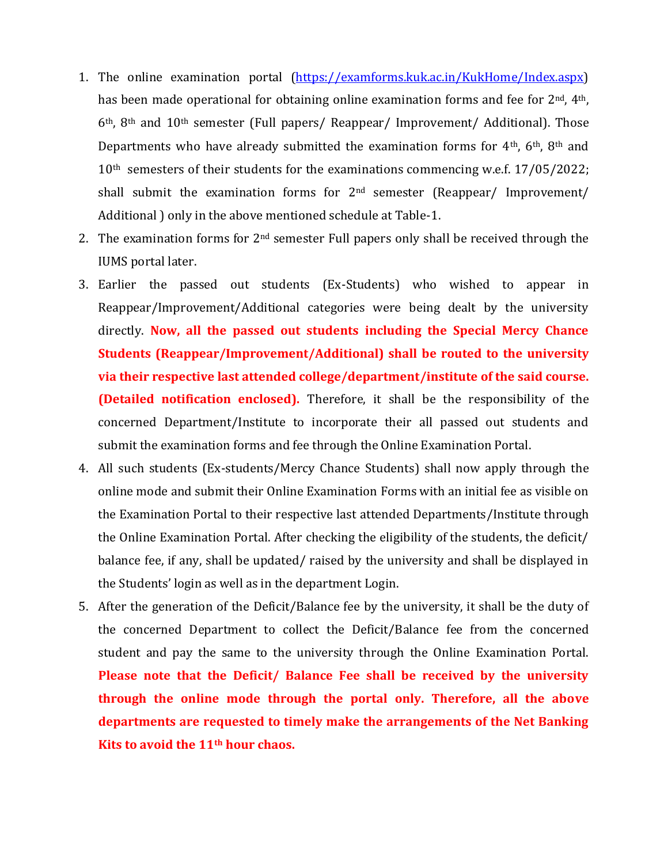- 1. The online examination portal [\(https://examforms.kuk.ac.in/KukHome/Index.aspx\)](https://examforms.kuk.ac.in/KukHome/Index.aspx) has been made operational for obtaining online examination forms and fee for  $2<sup>nd</sup>$ ,  $4<sup>th</sup>$ , 6th, 8th and 10th semester (Full papers/ Reappear/ Improvement/ Additional). Those Departments who have already submitted the examination forms for  $4<sup>th</sup>$ ,  $6<sup>th</sup>$ ,  $8<sup>th</sup>$  and 10<sup>th</sup> semesters of their students for the examinations commencing w.e.f. 17/05/2022; shall submit the examination forms for  $2<sup>nd</sup>$  semester (Reappear/ Improvement/ Additional ) only in the above mentioned schedule at Table-1.
- 2. The examination forms for  $2<sup>nd</sup>$  semester Full papers only shall be received through the IUMS portal later.
- 3. Earlier the passed out students (Ex-Students) who wished to appear in Reappear/Improvement/Additional categories were being dealt by the university directly. **Now, all the passed out students including the Special Mercy Chance Students (Reappear/Improvement/Additional) shall be routed to the university via their respective last attended college/department/institute of the said course. (Detailed notification enclosed).** Therefore, it shall be the responsibility of the concerned Department/Institute to incorporate their all passed out students and submit the examination forms and fee through the Online Examination Portal.
- 4. All such students (Ex-students/Mercy Chance Students) shall now apply through the online mode and submit their Online Examination Forms with an initial fee as visible on the Examination Portal to their respective last attended Departments/Institute through the Online Examination Portal. After checking the eligibility of the students, the deficit/ balance fee, if any, shall be updated/ raised by the university and shall be displayed in the Students' login as well as in the department Login.
- 5. After the generation of the Deficit/Balance fee by the university, it shall be the duty of the concerned Department to collect the Deficit/Balance fee from the concerned student and pay the same to the university through the Online Examination Portal. **Please note that the Deficit/ Balance Fee shall be received by the university through the online mode through the portal only. Therefore, all the above departments are requested to timely make the arrangements of the Net Banking Kits to avoid the 11th hour chaos.**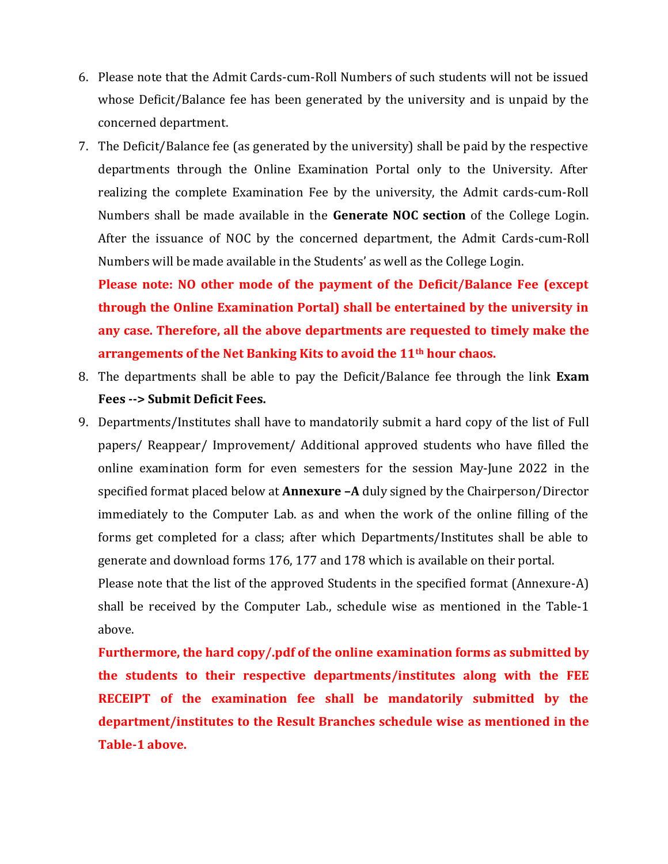- 6. Please note that the Admit Cards-cum-Roll Numbers of such students will not be issued whose Deficit/Balance fee has been generated by the university and is unpaid by the concerned department.
- 7. The Deficit/Balance fee (as generated by the university) shall be paid by the respective departments through the Online Examination Portal only to the University. After realizing the complete Examination Fee by the university, the Admit cards-cum-Roll Numbers shall be made available in the **Generate NOC section** of the College Login. After the issuance of NOC by the concerned department, the Admit Cards-cum-Roll Numbers will be made available in the Students' as well as the College Login.

**Please note: NO other mode of the payment of the Deficit/Balance Fee (except through the Online Examination Portal) shall be entertained by the university in any case. Therefore, all the above departments are requested to timely make the arrangements of the Net Banking Kits to avoid the 11th hour chaos.** 

- 8. The departments shall be able to pay the Deficit/Balance fee through the link **Exam Fees --> Submit Deficit Fees.**
- 9. Departments/Institutes shall have to mandatorily submit a hard copy of the list of Full papers/ Reappear/ Improvement/ Additional approved students who have filled the online examination form for even semesters for the session May-June 2022 in the specified format placed below at **Annexure –A** duly signed by the Chairperson/Director immediately to the Computer Lab. as and when the work of the online filling of the forms get completed for a class; after which Departments/Institutes shall be able to generate and download forms 176, 177 and 178 which is available on their portal.

Please note that the list of the approved Students in the specified format (Annexure-A) shall be received by the Computer Lab., schedule wise as mentioned in the Table-1 above.

**Furthermore, the hard copy/.pdf of the online examination forms as submitted by the students to their respective departments/institutes along with the FEE RECEIPT of the examination fee shall be mandatorily submitted by the department/institutes to the Result Branches schedule wise as mentioned in the Table-1 above.**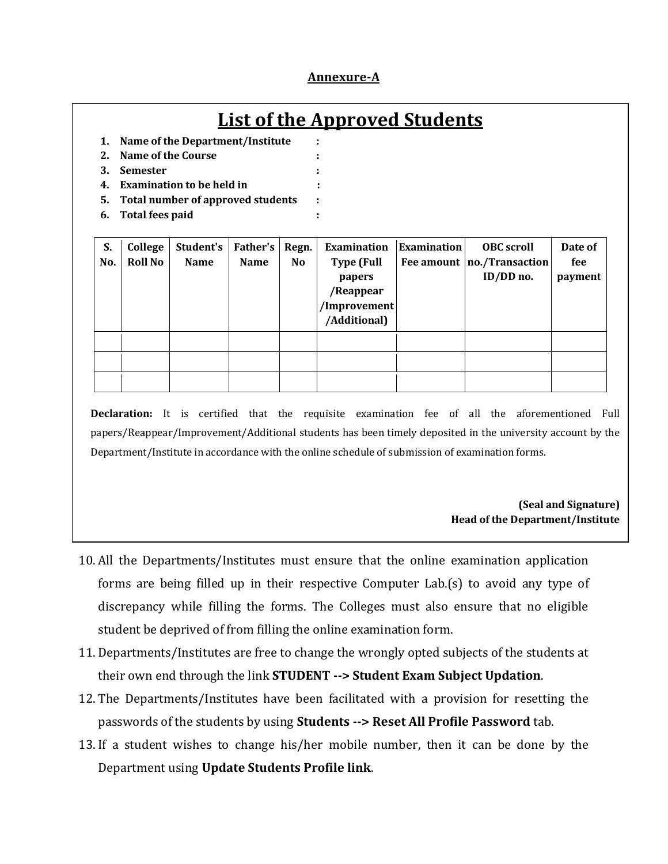### **Annexure-A**

# **List of the Approved Students**

- **1. Name of the Department/Institute :**
- **2. Name of the Course :**
- **3. Semester :**
- **4. Examination to be held in :**
- **5. Total number of approved students :**
- **6. Total fees paid :**

| S.<br>No. | College<br><b>Roll No</b> | Student's<br><b>Name</b> | <b>Father's</b><br><b>Name</b> | Regn.<br>No. | Examination<br><b>Type (Full</b><br>papers<br>/Reappear<br>/Improvement <br>/Additional) | <b>Examination</b> | <b>OBC</b> scroll<br>Fee amount   no./Transaction<br>$ID/DD$ no. | Date of<br>fee<br>payment |
|-----------|---------------------------|--------------------------|--------------------------------|--------------|------------------------------------------------------------------------------------------|--------------------|------------------------------------------------------------------|---------------------------|
|           |                           |                          |                                |              |                                                                                          |                    |                                                                  |                           |

**Declaration:** It is certified that the requisite examination fee of all the aforementioned Full papers/Reappear/Improvement/Additional students has been timely deposited in the university account by the Department/Institute in accordance with the online schedule of submission of examination forms.

#### **(Seal and Signature) Head of the Department/Institute**

- 10. All the Departments/Institutes must ensure that the online examination application forms are being filled up in their respective Computer Lab.(s) to avoid any type of discrepancy while filling the forms. The Colleges must also ensure that no eligible student be deprived of from filling the online examination form.
- 11. Departments/Institutes are free to change the wrongly opted subjects of the students at their own end through the link **STUDENT --> Student Exam Subject Updation**.
- 12. The Departments/Institutes have been facilitated with a provision for resetting the passwords of the students by using **Students --> Reset All Profile Password** tab.
- 13. If a student wishes to change his/her mobile number, then it can be done by the Department using **Update Students Profile link**.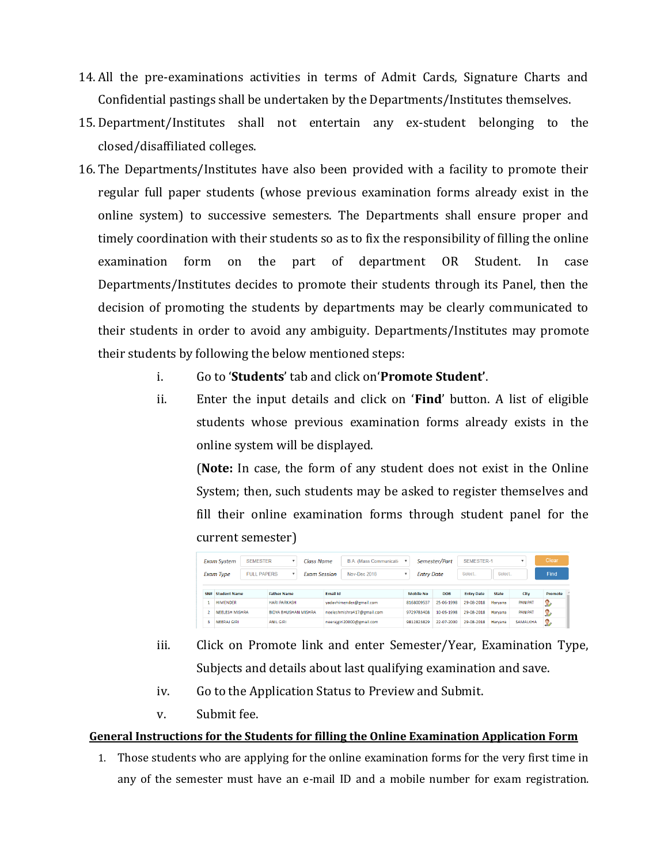- 14. All the pre-examinations activities in terms of Admit Cards, Signature Charts and Confidential pastings shall be undertaken by the Departments/Institutes themselves.
- 15. Department/Institutes shall not entertain any ex-student belonging to the closed/disaffiliated colleges.
- 16. The Departments/Institutes have also been provided with a facility to promote their regular full paper students (whose previous examination forms already exist in the online system) to successive semesters. The Departments shall ensure proper and timely coordination with their students so as to fix the responsibility of filling the online examination form on the part of department OR Student. In case Departments/Institutes decides to promote their students through its Panel, then the decision of promoting the students by departments may be clearly communicated to their students in order to avoid any ambiguity. Departments/Institutes may promote their students by following the below mentioned steps:
	- i. Go to '**Students**' tab and click on'**Promote Student'**.
	- ii. Enter the input details and click on '**Find**' button. A list of eligible students whose previous examination forms already exists in the online system will be displayed.

(**Note:** In case, the form of any student does not exist in the Online System; then, such students may be asked to register themselves and fill their online examination forms through student panel for the current semester)

|     | <b>Exam System</b>    | <b>SEMESTER</b>    | $\boldsymbol{\mathrm{v}}$   | Class Name          |                            | B.A. (Mass Communicati-   |            |                   | Semester/Part | <b>SEMESTER-1</b> |              |                | Clear         |
|-----|-----------------------|--------------------|-----------------------------|---------------------|----------------------------|---------------------------|------------|-------------------|---------------|-------------------|--------------|----------------|---------------|
|     | <b>Exam Type</b>      | <b>FULL PAPERS</b> | ۰                           | <b>Exam Session</b> |                            | Nov-Dec 2018              |            | <b>Entry Date</b> |               | Select.           | Select       |                | Find          |
| SN# | <b>Student Name</b>   |                    | <b>Father Name</b>          |                     | <b>Email Id</b>            |                           |            | <b>Mobile No</b>  | <b>DOB</b>    | <b>Entry Date</b> | <b>State</b> | City           | Promote       |
|     | <b>HIMENDER</b>       |                    | <b>HARI PARKASH</b>         |                     |                            | vadavhimender@gmail.com   | 8168009537 |                   | 25-06-1998    | 29-08-2018        | Harvana      | <b>PANIPAT</b> | Ω             |
|     | <b>NEELESH MISHRA</b> |                    | <b>BIDYA BHUSHAN MISHRA</b> |                     | neeleshmishra417@gmail.com |                           |            | 9729783408        | 10-05-1998    | 29-08-2018        | Harvana      | <b>PANIPAT</b> | Ω             |
|     | <b>NEERAJ GIRI</b>    |                    | <b>ANIL GIRL</b>            |                     |                            | neerajgiri20000@gmail.com |            | 9812823829        | 22-07-2000    | 29-08-2018        | Harvana      | SAMALKHA       | $\rightarrow$ |

- iii. Click on Promote link and enter Semester/Year, Examination Type, Subjects and details about last qualifying examination and save.
- iv. Go to the Application Status to Preview and Submit.
- v. Submit fee.

#### **General Instructions for the Students for filling the Online Examination Application Form**

1. Those students who are applying for the online examination forms for the very first time in any of the semester must have an e-mail ID and a mobile number for exam registration.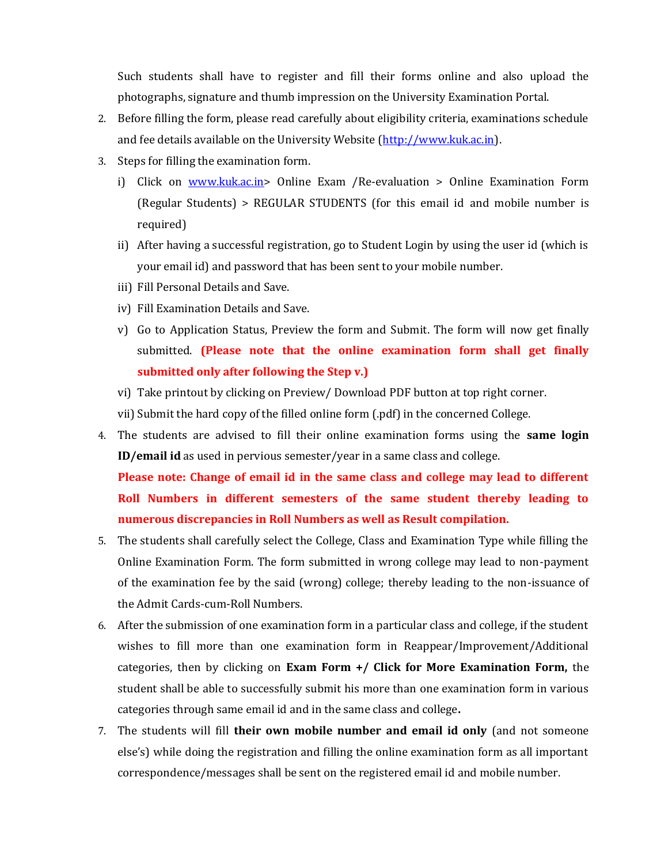Such students shall have to register and fill their forms online and also upload the photographs, signature and thumb impression on the University Examination Portal.

- 2. Before filling the form, please read carefully about eligibility criteria, examinations schedule and fee details available on the University Website [\(http://www.kuk.ac.in\)](http://www.kuk.ac.in/).
- 3. Steps for filling the examination form.
	- i) Click on [www.kuk.ac.in>](http://www.kuk.ac.in/) Online Exam /Re-evaluation > Online Examination Form (Regular Students) > REGULAR STUDENTS (for this email id and mobile number is required)
	- ii) After having a successful registration, go to Student Login by using the user id (which is your email id) and password that has been sent to your mobile number.
	- iii) Fill Personal Details and Save.
	- iv) Fill Examination Details and Save.
	- v) Go to Application Status, Preview the form and Submit. The form will now get finally submitted. **(Please note that the online examination form shall get finally submitted only after following the Step v.)**
	- vi) Take printout by clicking on Preview/ Download PDF button at top right corner.
	- vii) Submit the hard copy of the filled online form (.pdf) in the concerned College.
- 4. The students are advised to fill their online examination forms using the **same login ID/email id** as used in pervious semester/year in a same class and college.

**Please note: Change of email id in the same class and college may lead to different Roll Numbers in different semesters of the same student thereby leading to numerous discrepancies in Roll Numbers as well as Result compilation.**

- 5. The students shall carefully select the College, Class and Examination Type while filling the Online Examination Form. The form submitted in wrong college may lead to non-payment of the examination fee by the said (wrong) college; thereby leading to the non-issuance of the Admit Cards-cum-Roll Numbers.
- 6. After the submission of one examination form in a particular class and college, if the student wishes to fill more than one examination form in Reappear/Improvement/Additional categories, then by clicking on **Exam Form +/ Click for More Examination Form,** the student shall be able to successfully submit his more than one examination form in various categories through same email id and in the same class and college**.**
- 7. The students will fill **their own mobile number and email id only** (and not someone else's) while doing the registration and filling the online examination form as all important correspondence/messages shall be sent on the registered email id and mobile number.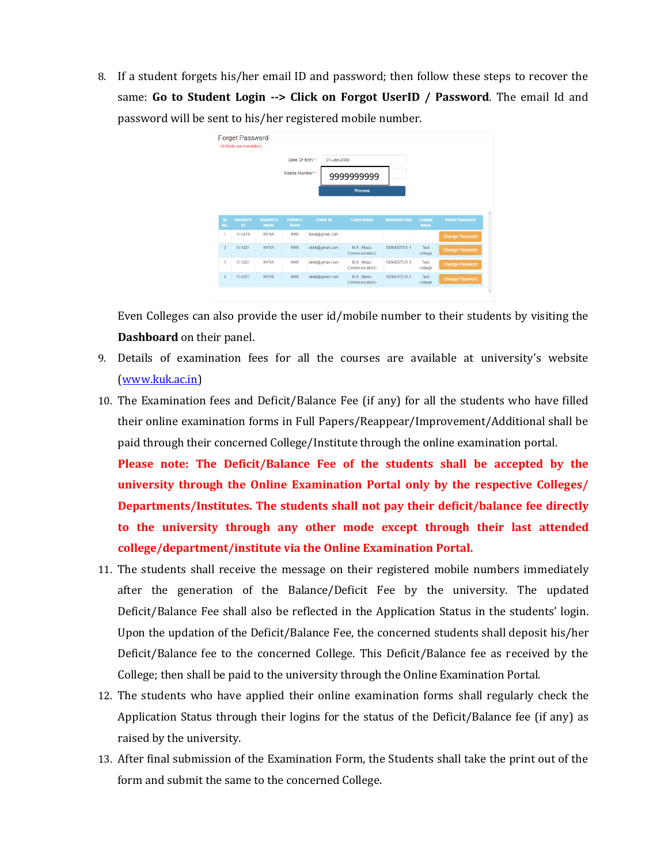8. If a student forgets his/her email ID and password; then follow these steps to recover the same: **Go to Student Login --> Click on Forgot UserID / Password**. The email Id and password will be sent to his/her registered mobile number.



Even Colleges can also provide the user id/mobile number to their students by visiting the **Dashboard** on their panel.

- 9. Details of examination fees for all the courses are available at university's website [\(www.kuk.ac.in\)](http://www.kuk.ac.in/)
- 10. The Examination fees and Deficit/Balance Fee (if any) for all the students who have filled their online examination forms in Full Papers/Reappear/Improvement/Additional shall be paid through their concerned College/Institute through the online examination portal.

**Please note: The Deficit/Balance Fee of the students shall be accepted by the university through the Online Examination Portal only by the respective Colleges/ Departments/Institutes. The students shall not pay their deficit/balance fee directly to the university through any other mode except through their last attended college/department/institute via the Online Examination Portal.** 

- 11. The students shall receive the message on their registered mobile numbers immediately after the generation of the Balance/Deficit Fee by the university. The updated Deficit/Balance Fee shall also be reflected in the Application Status in the students' login. Upon the updation of the Deficit/Balance Fee, the concerned students shall deposit his/her Deficit/Balance fee to the concerned College. This Deficit/Balance fee as received by the College; then shall be paid to the university through the Online Examination Portal.
- 12. The students who have applied their online examination forms shall regularly check the Application Status through their logins for the status of the Deficit/Balance fee (if any) as raised by the university.
- 13. After final submission of the Examination Form, the Students shall take the print out of the form and submit the same to the concerned College.